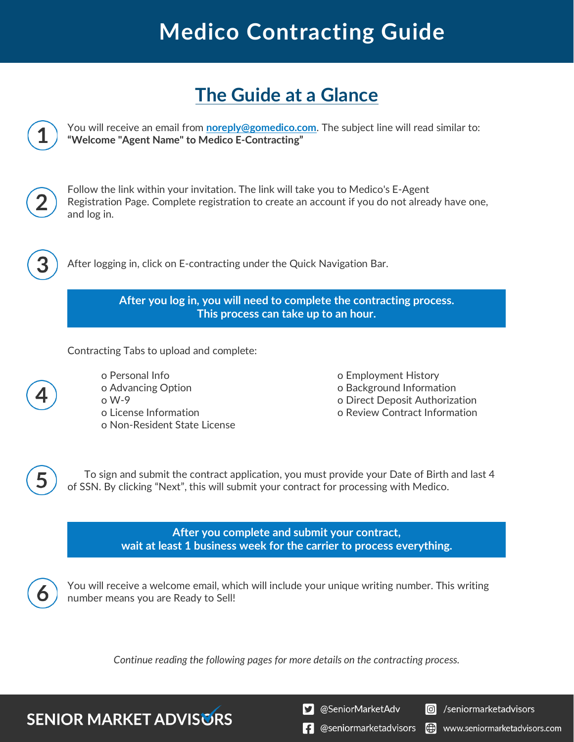# **Medico Contracting Guide**

### **The Guide at a Glance**



*Continue reading the following pages for more details on the contracting process.*

**SENIOR MARKET ADVISORS** 

S @SeniorMarketAdv

Seniormarketadvisors

 $\left| \cdot \right|$  @seniormarketadvisors (.) www.seniormarketadvisors.com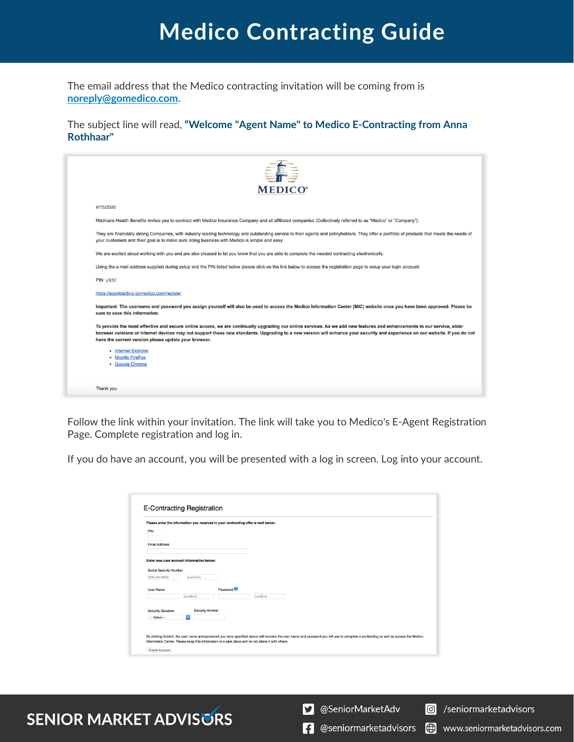## **Medico Contracting Guide**

The email address that the Medico contracting invitation will be coming from is **[noreply@gomedico.com](mailto:noreply@gomedico.com)**.

The subject line will read, **"Welcome "Agent Name" to Medico E-Contracting from Anna Rothhaar"**

| <b>MEDICO</b> <sup>®</sup>                                                                                                                                                                                                                                                                                                                                                                                      |
|-----------------------------------------------------------------------------------------------------------------------------------------------------------------------------------------------------------------------------------------------------------------------------------------------------------------------------------------------------------------------------------------------------------------|
| 4/15/2020                                                                                                                                                                                                                                                                                                                                                                                                       |
| Medicare Health Benefits invites you to contract with Medico Insurance Company and all affiliated companies (Collectively referred to as "Medico" or "Company").                                                                                                                                                                                                                                                |
| They are financially strong Companies, with industry-leading technology and outstanding service to their agents and policyholders. They offer a portfolio of products that meets the needs of<br>your customers and their goal is to make sure doing business with Medico is simple and easy.                                                                                                                   |
| We are excited about working with you and are also pleased to let you know that you are able to complete the needed contracting electronically.                                                                                                                                                                                                                                                                 |
| Using the e-mail address supplied during setup and the PIN listed below please click on the link below to access the registration page to setup your login account:                                                                                                                                                                                                                                             |
| PIN: yX5C                                                                                                                                                                                                                                                                                                                                                                                                       |
| https://econtracting.gomedico.com/register                                                                                                                                                                                                                                                                                                                                                                      |
| Important: The username and password you assign yourself will also be used to access the Medico Information Center (MIC) website once you have been approved. Please be<br>sure to save this information.                                                                                                                                                                                                       |
| To provide the most effective and secure online access, we are continually upgrading our online services. As we add new features and enhancements to our service, older<br>browser versions or Internet devices may not support these new standards. Upgrading to a new version will enhance your security and experience on our website. If you do not<br>have the current version please update your browser. |
| • Internet Explorer<br>• Mozilla FireFox<br>• Google Chrome                                                                                                                                                                                                                                                                                                                                                     |
| Thank you                                                                                                                                                                                                                                                                                                                                                                                                       |
|                                                                                                                                                                                                                                                                                                                                                                                                                 |

Follow the link within your invitation. The link will take you to Medico's E-Agent Registration Page. Complete registration and log in.

If you do have an account, you will be presented with a log in screen. Log into your account.

|                          |                                           |                       | Please enter the information you received in your contracting offer e-mail below: |
|--------------------------|-------------------------------------------|-----------------------|-----------------------------------------------------------------------------------|
| PIN                      |                                           |                       |                                                                                   |
|                          |                                           |                       |                                                                                   |
| <b>Email Address</b>     |                                           |                       |                                                                                   |
|                          |                                           |                       |                                                                                   |
|                          | Enter new user account information below: |                       |                                                                                   |
| Social Security Number   |                                           |                       |                                                                                   |
| 000-00-0000              | (confirm)                                 |                       |                                                                                   |
|                          |                                           |                       |                                                                                   |
| <b>User Name</b>         |                                           | Password <sup>O</sup> |                                                                                   |
|                          | (confirm)                                 |                       | (confirm)                                                                         |
|                          |                                           |                       |                                                                                   |
| <b>Security Question</b> | <b>Security Answer</b>                    |                       |                                                                                   |
|                          | A.                                        |                       |                                                                                   |

#### **SENIOR MARKET ADVISURS**

S @SeniorMarketAdv

Seniormarketadvisors

www.seniormarketadvisors.com

**f** @seniormarketadvisors